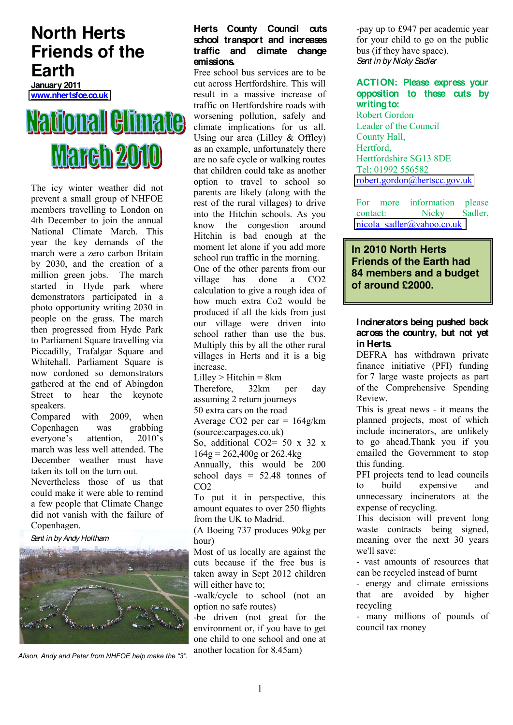## **North Herts Friends of the Earth**

**January 2011 [www.nhertsfoe.co.uk](http://www.nhertsfoe.co.uk/)**

# National Glimate **March 2010**

The icy winter weather did not prevent a small group of NHFOE members travelling to London on 4th December to join the annual National Climate March. This year the key demands of the march were a zero carbon Britain by 2030, and the creation of a million green jobs. The march started in Hyde park where demonstrators participated in a photo opportunity writing 2030 in people on the grass. The march then progressed from Hyde Park to Parliament Square travelling via Piccadilly, Trafalgar Square and Whitehall. Parliament Square is now cordoned so demonstrators gathered at the end of Abingdon Street to hear the keynote speakers.

Compared with 2009, when Copenhagen was grabbing everyone's attention,  $2010$ 's march was less well attended. The December weather must have taken its toll on the turn out.

Nevertheless those of us that could make it were able to remind a few people that Climate Change did not vanish with the failure of Copenhagen.

*Sent in by Andy Holtham*



Alison, Andy and Peter from NHFOE help make the "3".

#### **Herts County Council cuts school transport and increases traffic and climate change emissions.**

Free school bus services are to be cut across Hertfordshire. This will result in a massive increase of traffic on Hertfordshire roads with worsening pollution, safely and climate implications for us all. Using our area (Lilley & Offley) as an example, unfortunately there are no safe cycle or walking routes that children could take as another option to travel to school so parents are likely (along with the rest of the rural villages) to drive into the Hitchin schools. As you know the congestion around Hitchin is bad enough at the moment let alone if you add more school run traffic in the morning. One of the other parents from our village has done a CO2 calculation to give a rough idea of

how much extra Co2 would be produced if all the kids from just our village were driven into school rather than use the bus. Multiply this by all the other rural villages in Herts and it is a big increase.

 $Lilley$  > Hitchin = 8 $km$ Therefore, 32km per day assuming 2 return journeys 50 extra cars on the road Average CO2 per car =  $164g/km$ (source:carpages.co.uk) So, additional CO2= 50 x 32 x  $164g = 262,400g$  or  $262.4kg$ Annually, this would be 200

school days  $= 52.48$  tonnes of CO2

To put it in perspective, this amount equates to over 250 flights from the UK to Madrid.

(A Boeing 737 produces 90kg per hour)

Most of us locally are against the cuts because if the free bus is taken away in Sept 2012 children will either have to:

-walk/cycle to school (not an option no safe routes)

-be driven (not great for the environment or, if you have to get one child to one school and one at another location for 8.45am)

-pay up to £947 per academic year for your child to go on the public bus (if they have space). *Sent in by Nicky Sadler*

## **ACTION: Please express your opposition to these cuts by writing to:**

Robert Gordon Leader of the Council County Hall, **Hertford** Hertfordshire SG13 8DE Tel: 01992 556582 [robert.gordon@hertscc.gov.uk](mailto:robert.gordon@hertscc.gov.uk)

For more information please contact: Nicky Sadler, [nicola\\_sadler@yahoo.co.uk](mailto:nicola_sadler@yahoo.co.uk) 

## **In 2010 North Herts Friends of the Earth had 84 members and a budget of around £2000.**

## **Incinerators being pushed back across the country, but not yet in Herts.**

DEFRA has withdrawn private finance initiative (PFI) funding for 7 large waste projects as part of the Comprehensive Spending Review.

This is great news - it means the planned projects, most of which include incinerators, are unlikely to go ahead.Thank you if you emailed the Government to stop this funding.

PFI projects tend to lead councils to build expensive and unnecessary incinerators at the expense of recycling.

This decision will prevent long waste contracts being signed, meaning over the next 30 years we'll save:

- vast amounts of resources that can be recycled instead of burnt

- energy and climate emissions that are avoided by higher recycling

- many millions of pounds of council tax money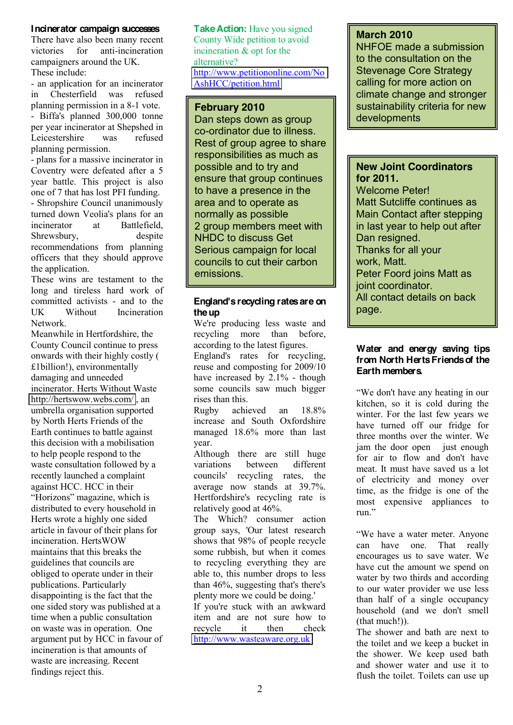## **Incinerator campaign successes**

There have also been many recent victories for anti-incineration campaigners around the UK. These include:

- an application for an incinerator in Chesterfield was refused planning permission in a 8-1 vote. - Biffa's planned 300,000 tonne per year incinerator at Shepshed in Leicestershire was refused planning permission.

- plans for a massive incinerator in Coventry were defeated after a 5 year battle. This project is also one of 7 that has lost PFI funding.

- Shropshire Council unanimously turned down Veolia's plans for an incinerator at Battlefield Shrewsbury, despite recommendations from planning officers that they should approve the application.

These wins are testament to the long and tireless hard work of committed activists - and to the UK Without Incineration Network.

Meanwhile in Hertfordshire, the County Council continue to press onwards with their highly costly ( £1billion!), environmentally damaging and unneeded incinerator. Herts Without Waste <http://hertswow.webs.com/> , an umbrella organisation supported by North Herts Friends of the Earth continues to battle against this decision with a mobilisation to help people respond to the waste consultation followed by a recently launched a complaint against HCC. HCC in their "Horizons" magazine, which is distributed to every household in Herts wrote a highly one sided article in favour of their plans for incineration. HertsWOW maintains that this breaks the guidelines that councils are obliged to operate under in their publications. Particularly disappointing is the fact that the one sided story was published at a time when a public consultation on waste was in operation. One argument put by HCC in favour of incineration is that amounts of waste are increasing. Recent findings reject this.

**Take Action:** Have you signed County Wide petition to avoid incineration & opt for the alternative? [http://www.petitiononline.com/No](http://www.petitiononline.com/NoAshHCC/petition.html) [AshHCC/petition.html](http://www.petitiononline.com/NoAshHCC/petition.html) 

## **February 2010**

Dan steps down as group co-ordinator due to illness. Rest of group agree to share responsibilities as much as possible and to try and ensure that group continues to have a presence in the area and to operate as normally as possible 2 group members meet with NHDC to discuss Get Serious campaign for local councils to cut their carbon emissions.

#### **England's recycling rates are on the up**

We're producing less waste and recycling more than before, according to the latest figures. England's rates for recycling, reuse and composting for 2009/10 have increased by 2.1% - though some councils saw much bigger rises than this.

Rugby achieved an 18.8% increase and South Oxfordshire managed 18.6% more than last year.

Although there are still huge variations between different councils' recycling rates, the average now stands at 39.7%. Hertfordshire's recycling rate is relatively good at 46%.

The Which? consumer action group says, 'Our latest research shows that 98% of people recycle some rubbish, but when it comes to recycling everything they are able to, this number drops to less than 46%, suggesting that's there's plenty more we could be doing.'

If you're stuck with an awkward item and are not sure how to recycle it then check [http://www.wasteaware.org.uk](http://www.wasteaware.org.uk/)

## **March 2010**

NHFOE made a submission to the consultation on the Stevenage Core Strategy calling for more action on climate change and stronger sustainability criteria for new developments

## **New Joint Coordinators for 2011.**

Welcome Peter! Matt Sutcliffe continues as Main Contact after stepping in last year to help out after Dan resigned. Thanks for all your work, Matt. Peter Foord joins Matt as joint coordinator. All contact details on back page.

## **Water and energy saving tips from North Herts Friends of the Earth members.**

"We don't have any heating in our kitchen, so it is cold during the winter. For the last few years we have turned off our fridge for three months over the winter. We jam the door open just enough for air to flow and don't have meat. It must have saved us a lot of electricity and money over time, as the fridge is one of the most expensive appliances to run."

"We have a water meter. Anyone<br>can have one. That really can have one. encourages us to save water. We have cut the amount we spend on water by two thirds and according to our water provider we use less than half of a single occupancy household (and we don't smell (that much!)).

The shower and bath are next to the toilet and we keep a bucket in the shower. We keep used bath and shower water and use it to flush the toilet. Toilets can use up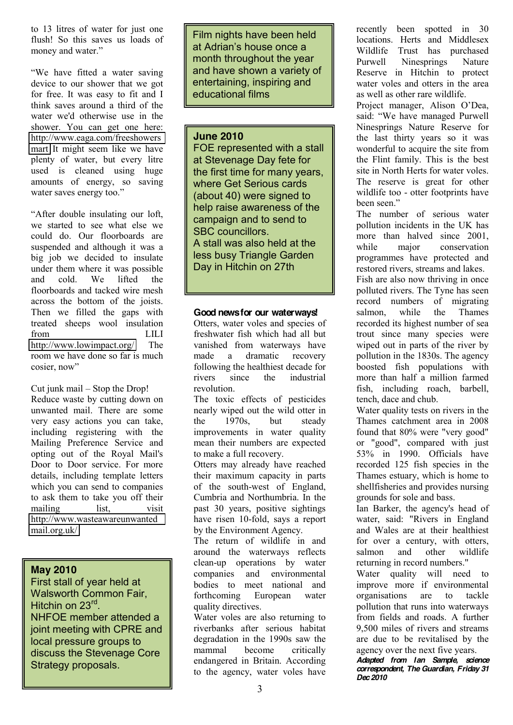to 13 litres of water for just one flush! So this saves us loads of money and water."

"We have fitted a water saving device to our shower that we got for free. It was easy to fit and I think saves around a third of the water we'd otherwise use in the shower. You can get one here: [http://www.eaga.com/freeshowers](http://www.eaga.com/freeshowersmart) [mart](http://www.eaga.com/freeshowersmart) It might seem like we have plenty of water, but every litre used is cleaned using huge amounts of energy, so saving water saves energy too."

"After double insulating our loft, we started to see what else we could do. Our floorboards are suspended and although it was a big job we decided to insulate under them where it was possible and cold. We lifted the floorboards and tacked wire mesh across the bottom of the joists. Then we filled the gaps with treated sheeps wool insulation from LILI <http://www.lowimpact.org/> The room we have done so far is much cosier, now"

Cut junk mail  $-$  Stop the Drop! Reduce waste by cutting down on unwanted mail. There are some very easy actions you can take, including registering with the Mailing Preference Service and opting out of the Royal Mail's Door to Door service. For more details, including template letters which you can send to companies to ask them to take you off their mailing list, visit [http://www.wasteawareunwanted](http://www.wasteawareunwantedmail.org.uk/) [mail.org.uk/](http://www.wasteawareunwantedmail.org.uk/)

## **May 2010**

First stall of year held at Walsworth Common Fair, Hitchin on 23<sup>rd</sup>. NHFOE member attended a joint meeting with CPRE and local pressure groups to discuss the Stevenage Core Strategy proposals.

Film nights have been held at Adrian's house once a month throughout the year and have shown a variety of entertaining, inspiring and educational films

## **June 2010**

FOE represented with a stall at Stevenage Day fete for the first time for many years, where Get Serious cards (about 40) were signed to help raise awareness of the campaign and to send to SBC councillors. A stall was also held at the less busy Triangle Garden Day in Hitchin on 27th

## **Good news for our waterways!**

Otters, water voles and species of freshwater fish which had all but vanished from waterways have made a dramatic recovery following the healthiest decade for rivers since the industrial revolution.

The toxic effects of pesticides nearly wiped out the wild otter in the 1970s but steady improvements in water quality mean their numbers are expected to make a full recovery.

Otters may already have reached their maximum capacity in parts of the south-west of England, Cumbria and Northumbria. In the past 30 years, positive sightings have risen 10-fold, says a report by the Environment Agency.

The return of wildlife in and around the waterways reflects clean-up operations by water companies and environmental bodies to meet national and forthcoming European water quality directives.

Water voles are also returning to riverbanks after serious habitat degradation in the 1990s saw the mammal become critically endangered in Britain. According to the agency, water voles have recently been spotted in 30 locations. Herts and Middlesex Wildlife Trust has purchased Purwell Ninesprings Nature Reserve in Hitchin to protect water voles and otters in the area as well as other rare wildlife.

Project manager, Alison O'Dea, said: "We have managed Purwell Ninesprings Nature Reserve for the last thirty years so it was wonderful to acquire the site from the Flint family. This is the best site in North Herts for water voles. The reserve is great for other wildlife too - otter footprints have been seen."

The number of serious water pollution incidents in the UK has more than halved since 2001, while major conservation programmes have protected and restored rivers, streams and lakes. Fish are also now thriving in once polluted rivers. The Tyne has seen record numbers of migrating salmon, while the Thames recorded its highest number of sea trout since many species were wiped out in parts of the river by pollution in the 1830s. The agency boosted fish populations with more than half a million farmed fish, including roach, barbell, tench, dace and chub.

Water quality tests on rivers in the Thames catchment area in 2008 found that 80% were "very good" or "good", compared with just 53% in 1990. Officials have recorded 125 fish species in the Thames estuary, which is home to shellfisheries and provides nursing grounds for sole and bass.

Ian Barker, the agency's head of water, said: "Rivers in England and Wales are at their healthiest for over a century, with otters, salmon and other wildlife returning in record numbers."

Water quality will need to improve more if environmental organisations are to tackle pollution that runs into waterways from fields and roads. A further 9,500 miles of rivers and streams are due to be revitalised by the agency over the next five years.

*Adapted from Ian Sample, science correspondent, The Guardian, Friday 31 Dec 2010*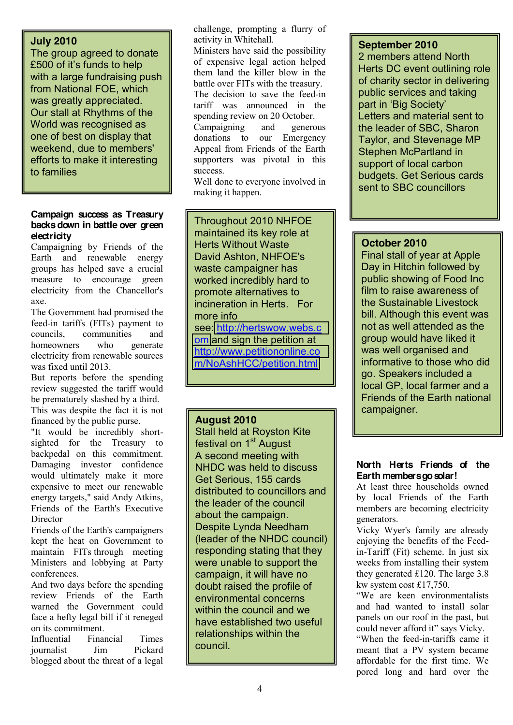## **July 2010**

The group agreed to donate  $£500$  of it's funds to help with a large fundraising push from National FOE, which was greatly appreciated. Our stall at Rhythms of the World was recognised as one of best on display that weekend, due to members' efforts to make it interesting to families

#### **Campaign success as Treasury backs down in battle over green electricity**

Campaigning by Friends of the Earth and renewable energy groups has helped save a crucial measure to encourage green electricity from the Chancellor's axe.

The Government had promised the feed-in tariffs (FITs) payment to councils, communities and homeowners who generate electricity from renewable sources was fixed until 2013.

But reports before the spending review suggested the tariff would be prematurely slashed by a third. This was despite the fact it is not

financed by the public purse. "It would be incredibly shortsighted for the Treasury to backpedal on this commitment. Damaging investor confidence would ultimately make it more expensive to meet our renewable energy targets," said Andy Atkins, Friends of the Earth's Executive Director

Friends of the Earth's campaigners kept the heat on Government to maintain FITs through meeting Ministers and lobbying at Party conferences.

And two days before the spending review Friends of the Earth warned the Government could face a hefty legal bill if it reneged on its commitment.

Influential Financial Times journalist Jim Pickard blogged about the threat of a legal

challenge, prompting a flurry of activity in Whitehall.

Ministers have said the possibility of expensive legal action helped them land the killer blow in the battle over FITs with the treasury. The decision to save the feed-in tariff was announced in the spending review on 20 October. Campaigning and generous donations to our Emergency Appeal from Friends of the Earth supporters was pivotal in this success.

Well done to everyone involved in making it happen.

. Throughout 2010 NHFOE maintained its key role at Herts Without Waste David Ashton, NHFOE's waste campaigner has worked incredibly hard to promote alternatives to incineration in Herts. For more info see: [http://hertswow.webs.c](http://hertswow.webs.com/) [om](http://hertswow.webs.com/) and sign the petition at [http://www.petitiononline.co](http://www.petitiononline.com/NoAshHCC/petition.html)

[m/NoAshHCC/petition.html](http://www.petitiononline.com/NoAshHCC/petition.html)

## **August 2010**

Stall held at Royston Kite festival on 1<sup>st</sup> August A second meeting with NHDC was held to discuss Get Serious, 155 cards distributed to councillors and the leader of the council about the campaign. Despite Lynda Needham (leader of the NHDC council) responding stating that they were unable to support the campaign, it will have no doubt raised the profile of environmental concerns within the council and we have established two useful relationships within the council.

## **September 2010**

2 members attend North Herts DC event outlining role of charity sector in delivering public services and taking part in 'Big Society' Letters and material sent to the leader of SBC, Sharon Taylor, and Stevenage MP Stephen McPartland in support of local carbon budgets. Get Serious cards sent to SBC councillors

## **October 2010**

Final stall of year at Apple Day in Hitchin followed by public showing of Food Inc film to raise awareness of the Sustainable Livestock bill. Although this event was not as well attended as the group would have liked it was well organised and informative to those who did go. Speakers included a local GP, local farmer and a Friends of the Earth national campaigner.

## **North Herts Friends of the Earth members go solar!**

At least three households owned by local Friends of the Earth members are becoming electricity generators.

Vicky Wyer's family are already enjoying the benefits of the Feedin-Tariff (Fit) scheme. In just six weeks from installing their system they generated £120. The large 3.8 kw system cost £17,750.

"We are keen environmentalists and had wanted to install solar panels on our roof in the past, but could never afford it" says Vicky.

"When the feed-in-tariffs came it meant that a PV system became affordable for the first time. We pored long and hard over the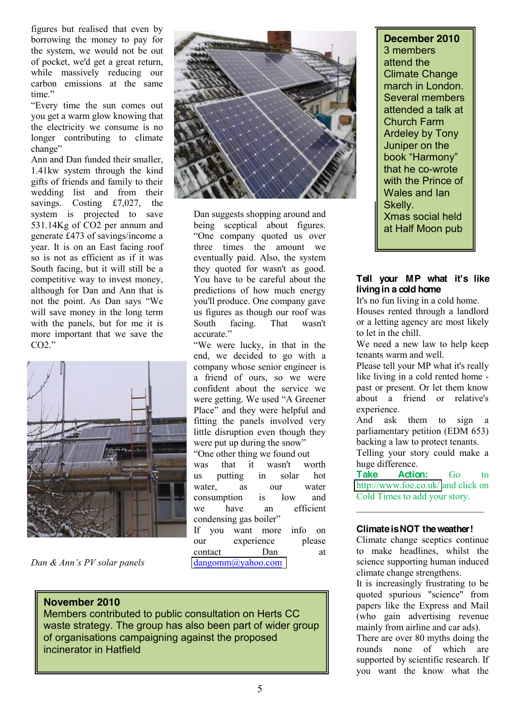figures but realised that even by borrowing the money to pay for the system, we would not be out of pocket, we'd get a great return, while massively reducing our carbon emissions at the same time"

"Every time the sun comes out you get a warm glow knowing that the electricity we consume is no longer contributing to climate change"

Ann and Dan funded their smaller, 1.41kw system through the kind gifts of friends and family to their wedding list and from their savings. Costing £7,027, the system is projected to save 531.14Kg of CO2 per annum and generate £473 of savings/income a year. It is on an East facing roof so is not as efficient as if it was South facing, but it will still be a competitive way to invest money, although for Dan and Ann that is not the point. As Dan says "We will save money in the long term with the panels, but for me it is more important that we save the  $CO2$ ."



*Dan & Ann's PV solar panels* 



Dan suggests shopping around and being sceptical about figures. "One company quoted us over three times the amount we eventually paid. Also, the system they quoted for wasn't as good. You have to be careful about the predictions of how much energy you'll produce. One company gave us figures as though our roof was South facing. That wasn't accurate."

"We were lucky, in that in the end, we decided to go with a company whose senior engineer is a friend of ours, so we were confident about the service we were getting. We used "A Greener" Place" and they were helpful and fitting the panels involved very little disruption even though they were put up during the snow" "One other thing we found out

was that it wasn't worth us putting in solar hot water, as our water consumption is low and we have an efficient condensing gas boiler"

If you want more info on our experience please contact Dan at [dangomm@yahoo.com](mailto:dangomm@yahoo.com) 

## **November 2010**

Members contributed to public consultation on Herts CC waste strategy. The group has also been part of wider group of organisations campaigning against the proposed incinerator in Hatfield

## **December 2010** 3 members attend the Climate Change march in London. Several members attended a talk at Church Farm Ardeley by Tony Juniper on the book "Harmony" that he co-wrote with the Prince of Wales and Ian Skelly. Xmas social held at Half Moon pub

## **Tell your MP what it's like living in a cold home**

It's no fun living in a cold home. Houses rented through a landlord or a letting agency are most likely to let in the chill.

We need a new law to help keep tenants warm and well.

Please tell your MP what it's really like living in a cold rented home past or present. Or let them know about a friend or relative's experience.

And ask them to sign a parliamentary petition (EDM 653) backing a law to protect tenants. Telling your story could make a huge difference.

Take **Action:** Go to <http://www.foe.co.uk/> and click on Cold Times to add your story.

 $\mathcal{L}=\mathcal{L}=\mathcal{L}=\mathcal{L}=\mathcal{L}=\mathcal{L}=\mathcal{L}=\mathcal{L}=\mathcal{L}=\mathcal{L}=\mathcal{L}=\mathcal{L}=\mathcal{L}=\mathcal{L}=\mathcal{L}=\mathcal{L}=\mathcal{L}=\mathcal{L}=\mathcal{L}=\mathcal{L}=\mathcal{L}=\mathcal{L}=\mathcal{L}=\mathcal{L}=\mathcal{L}=\mathcal{L}=\mathcal{L}=\mathcal{L}=\mathcal{L}=\mathcal{L}=\mathcal{L}=\mathcal{L}=\mathcal{L}=\mathcal{L}=\mathcal{L}=\mathcal{L}=\mathcal{$ 

## **Climate is NOT the weather!**

Climate change sceptics continue to make headlines, whilst the science supporting human induced climate change strengthens. It is increasingly frustrating to be quoted spurious "science" from papers like the Express and Mail (who gain advertising revenue mainly from airline and car ads). There are over 80 myths doing the

rounds none of which are supported by scientific research. If you want the know what the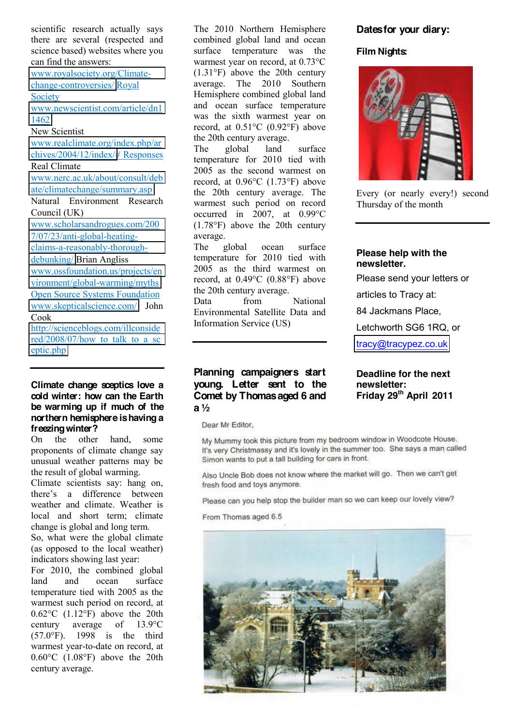scientific research actually says there are several (respected and science based) websites where you can find the answers:

[www.royalsociety.org/Climate](http://www.royalsociety.org/Climate-change-controversies/)[change-controversies/](http://www.royalsociety.org/Climate-change-controversies/) Royal **Society** 

[www.newscientist.com/article/dn1](http://www.newscientist.com/article/dn11462) [1462](http://www.newscientist.com/article/dn11462)

New Scientist

[www.realclimate.org/index.php/ar](http://www.realclimate.org/index.php/archives/2004/12/index/) [chives/2004/12/index/#](http://www.realclimate.org/index.php/archives/2004/12/index/) Responses

#### Real Climate

[www.nerc.ac.uk/about/consult/deb](http://www.nerc.ac.uk/about/consult/debate/climatechange/summary.asp) [ate/climatechange/summary.asp](http://www.nerc.ac.uk/about/consult/debate/climatechange/summary.asp)

Natural Environment Research Council (UK)

[www.scholarsandrogues.com/200](http://www.scholarsandrogues.com/2007/07/23/anti-global-heating-claims-a-reasonably-thorough-debunking/) [7/07/23/anti-global-heating](http://www.scholarsandrogues.com/2007/07/23/anti-global-heating-claims-a-reasonably-thorough-debunking/)[claims-a-reasonably-thorough](http://www.scholarsandrogues.com/2007/07/23/anti-global-heating-claims-a-reasonably-thorough-debunking/)[debunking/](http://www.scholarsandrogues.com/2007/07/23/anti-global-heating-claims-a-reasonably-thorough-debunking/) Brian Angliss

[www.ossfoundation.us/projects/en](http://www.ossfoundation.us/projects/environment/global-warming/myths) [vironment/global-warming/myths](http://www.ossfoundation.us/projects/environment/global-warming/myths) Open Source Systems Foundation [www.skepticalscience.com/](http://www.skepticalscience.com/) John Cook

[http://scienceblogs.com/illconside](http://scienceblogs.com/illconsidered/2008/07/how_to_talk_to_a_sceptic.php) red/2008/07/how to talk to a sc [eptic.php](http://scienceblogs.com/illconsidered/2008/07/how_to_talk_to_a_sceptic.php)

#### **Climate change sceptics love a cold winter: how can the Earth be warming up if much of the northern hemisphere is having a freezing winter?**

On the other hand, some proponents of climate change say unusual weather patterns may be the result of global warming.

Climate scientists say: hang on, there's a difference between weather and climate. Weather is local and short term; climate change is global and long term.

So, what were the global climate (as opposed to the local weather) indicators showing last year:

For 2010, the combined global land and ocean surface temperature tied with 2005 as the warmest such period on record, at 0.62°C (1.12°F) above the 20th<br>century average of 13.9°C century average of 13.9°C (57.0°F). 1998 is the third warmest year-to-date on record, at 0.60°C (1.08°F) above the 20th century average.

The 2010 Northern Hemisphere combined global land and ocean surface temperature was the warmest year on record, at 0.73°C (1.31°F) above the 20th century average. The 2010 Southern Hemisphere combined global land and ocean surface temperature was the sixth warmest year on record, at 0.51°C (0.92°F) above the 20th century average.

The global land surface temperature for 2010 tied with 2005 as the second warmest on record, at 0.96°C (1.73°F) above the 20th century average. The warmest such period on record occurred in 2007, at 0.99°C (1.78°F) above the 20th century average.

The global ocean surface temperature for 2010 tied with 2005 as the third warmest on record, at 0.49°C (0.88°F) above the 20th century average.

Data from National Environmental Satellite Data and Information Service (US)

## **Planning campaigners start young. Letter sent to the Comet by Thomas aged 6 and a ½**

Dear Mr Editor,

My Mummy took this picture from my bedroom window in Woodcote House. It's very Christmassy and it's lovely in the summer too. She says a man called Simon wants to put a tall building for cars in front.

Also Uncle Bob does not know where the market will go. Then we can't get fresh food and toys anymore.

Please can you help stop the builder man so we can keep our lovely view?

From Thomas aged 6.5



## **Dates for your diary:**

**Film Nights:**



Every (or nearly every!) second Thursday of the month

#### **Please help with the newsletter.**

Please send your letters or

articles to Tracy at:

84 Jackmans Place,

Letchworth SG6 1RQ, or

[tracy@tracypez.co.uk](mailto:tracy@tracypez.co.uk)

#### **Deadline for the next newsletter: Friday 29th April 2011**